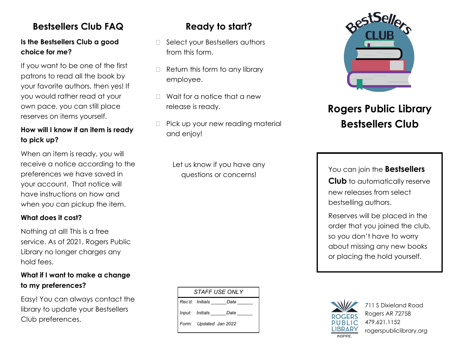## **Bestsellers Club FAQ**

### **Is the Bestsellers Club a good choice for me?**

If you want to be one of the first patrons to read all the book by your favorite authors, then yes! If you would rather read at your own pace, you can still place reserves on items yourself.

### **How will I know if an item is ready to pick up?**

When an item is ready, you will receive a notice according to the preferences we have saved in your account. That notice will have instructions on how and when you can pickup the item.

#### **What does it cost?**

Nothing at all! This is a free service. As of 2021, Rogers Public Library no longer charges any hold fees.

#### **What if I want to make a change to my preferences?**

Easy! You can always contact the library to update your Bestsellers Club preferences.

## **Ready to start?**

- □ Select your Bestsellers authors from this form.
- $\Box$  Return this form to any library employee.
- $\Box$  Wait for a notice that a new release is ready.
- $\Box$  Pick up your new reading material and enjoy!

Let us know if you have any



# **Rogers Public Library Bestsellers Club**

questions or concerns! You can join the **Bestsellers Club** to automatically reserve new releases from select bestselling authors.

> Reserves will be placed in the order that you joined the club, so you don't have to worry about missing any new books or placing the hold yourself.





711 S Dixieland Road Rogers AR 72758 479.621.1152 rogerspubliclibrary.org